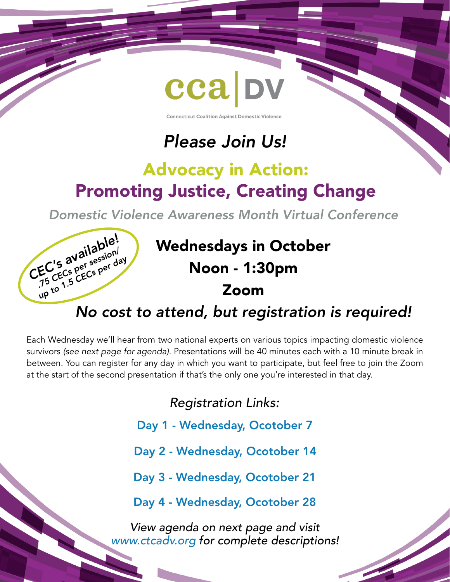

**Connecticut Coalition Against Domestic Violence** 

# *Please Join Us!*

# Advocacy in Action: Promoting Justice, Creating Change

*Domestic Violence Awareness Month Virtual Conference*



## *No cost to attend, but registration is required!*

Each Wednesday we'll hear from two national experts on various topics impacting domestic violence survivors *(see next page for agenda)*. Presentations will be 40 minutes each with a 10 minute break in between. You can register for any day in which you want to participate, but feel free to join the Zoom at the start of the second presentation if that's the only one you're interested in that day.

*Registration Links:*

- Day 1 - [Wednesday, Ocotober 7](https://zoom.us/meeting/register/tJYkcO2rqjsuEtxjsA-GI0ZYB6lmL_ltQTpF)
- Day 2 [Wednesday, Ocotober 14](https://zoom.us/meeting/register/tJ0qce2prz4qHdOarMoM0Zl--tUFTjRZ-H4B)
- Day 3 - [Wednesday, Ocotober 21](https://zoom.us/meeting/register/tJwucOuhpz4oEtF_vjDOPykUfnpsul6e-P2N)

Day 4 - [Wednesday, Ocotober 28](https://zoom.us/meeting/register/tJ0kcOCqqjkrGNLQBzZIPrqqVIAEKEEECkBH)

*View agenda on next page and visit [www.ctcadv.org](http://www.ctcadv.org/training-events/dvam_virtual_conf/) for complete descriptions!*